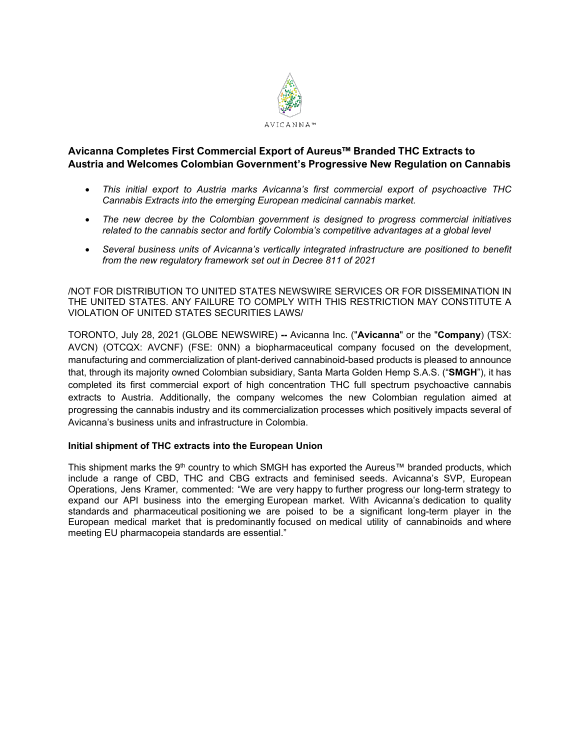

# **Avicanna Completes First Commercial Export of Aureus™ Branded THC Extracts to Austria and Welcomes Colombian Government's Progressive New Regulation on Cannabis**

- *This initial export to Austria marks Avicanna's first commercial export of psychoactive THC Cannabis Extracts into the emerging European medicinal cannabis market.*
- *The new decree by the Colombian government is designed to progress commercial initiatives related to the cannabis sector and fortify Colombia's competitive advantages at a global level*
- *Several business units of Avicanna's vertically integrated infrastructure are positioned to benefit from the new regulatory framework set out in Decree 811 of 2021*

/NOT FOR DISTRIBUTION TO UNITED STATES NEWSWIRE SERVICES OR FOR DISSEMINATION IN THE UNITED STATES. ANY FAILURE TO COMPLY WITH THIS RESTRICTION MAY CONSTITUTE A VIOLATION OF UNITED STATES SECURITIES LAWS/

TORONTO, July 28, 2021 (GLOBE NEWSWIRE) **--** Avicanna Inc. ("**Avicanna**" or the "**Company**) (TSX: AVCN) (OTCQX: AVCNF) (FSE: 0NN) a biopharmaceutical company focused on the development, manufacturing and commercialization of plant-derived cannabinoid-based products is pleased to announce that, through its majority owned Colombian subsidiary, Santa Marta Golden Hemp S.A.S. ("**SMGH**"), it has completed its first commercial export of high concentration THC full spectrum psychoactive cannabis extracts to Austria. Additionally, the company welcomes the new Colombian regulation aimed at progressing the cannabis industry and its commercialization processes which positively impacts several of Avicanna's business units and infrastructure in Colombia.

## **Initial shipment of THC extracts into the European Union**

This shipment marks the 9<sup>th</sup> country to which SMGH has exported the Aureus™ branded products, which include a range of CBD, THC and CBG extracts and feminised seeds. Avicanna's SVP, European Operations, Jens Kramer, commented: "We are very happy to further progress our long-term strategy to expand our API business into the emerging European market. With Avicanna's dedication to quality standards and pharmaceutical positioning we are poised to be a significant long-term player in the European medical market that is predominantly focused on medical utility of cannabinoids and where meeting EU pharmacopeia standards are essential."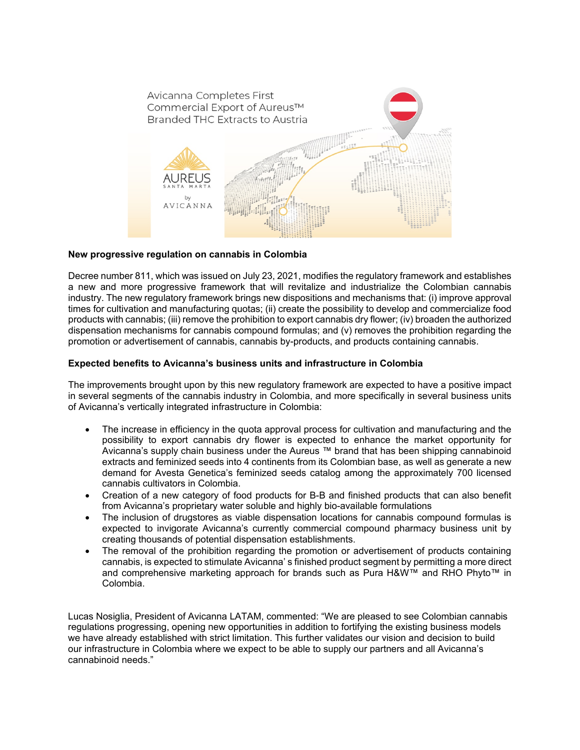

### **New progressive regulation on cannabis in Colombia**

Decree number 811, which was issued on July 23, 2021, modifies the regulatory framework and establishes a new and more progressive framework that will revitalize and industrialize the Colombian cannabis industry. The new regulatory framework brings new dispositions and mechanisms that: (i) improve approval times for cultivation and manufacturing quotas; (ii) create the possibility to develop and commercialize food products with cannabis; (iii) remove the prohibition to export cannabis dry flower; (iv) broaden the authorized dispensation mechanisms for cannabis compound formulas; and (v) removes the prohibition regarding the promotion or advertisement of cannabis, cannabis by-products, and products containing cannabis.

#### **Expected benefits to Avicanna's business units and infrastructure in Colombia**

The improvements brought upon by this new regulatory framework are expected to have a positive impact in several segments of the cannabis industry in Colombia, and more specifically in several business units of Avicanna's vertically integrated infrastructure in Colombia:

- The increase in efficiency in the quota approval process for cultivation and manufacturing and the possibility to export cannabis dry flower is expected to enhance the market opportunity for Avicanna's supply chain business under the Aureus ™ brand that has been shipping cannabinoid extracts and feminized seeds into 4 continents from its Colombian base, as well as generate a new demand for Avesta Genetica's feminized seeds catalog among the approximately 700 licensed cannabis cultivators in Colombia.
- Creation of a new category of food products for B-B and finished products that can also benefit from Avicanna's proprietary water soluble and highly bio-available formulations
- The inclusion of drugstores as viable dispensation locations for cannabis compound formulas is expected to invigorate Avicanna's currently commercial compound pharmacy business unit by creating thousands of potential dispensation establishments.
- The removal of the prohibition regarding the promotion or advertisement of products containing cannabis, is expected to stimulate Avicanna' s finished product segment by permitting a more direct and comprehensive marketing approach for brands such as Pura H&W™ and RHO Phyto™ in Colombia.

Lucas Nosiglia, President of Avicanna LATAM, commented: "We are pleased to see Colombian cannabis regulations progressing, opening new opportunities in addition to fortifying the existing business models we have already established with strict limitation. This further validates our vision and decision to build our infrastructure in Colombia where we expect to be able to supply our partners and all Avicanna's cannabinoid needs."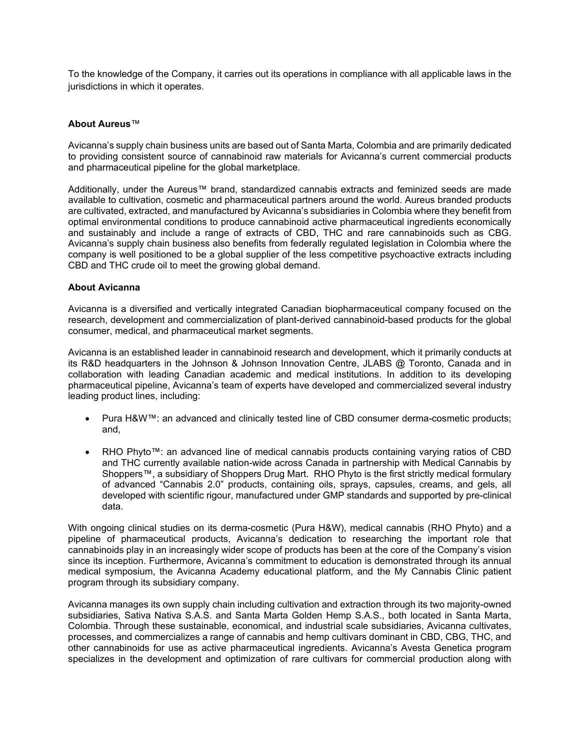To the knowledge of the Company, it carries out its operations in compliance with all applicable laws in the jurisdictions in which it operates.

#### **About Aureus**™

Avicanna's supply chain business units are based out of Santa Marta, Colombia and are primarily dedicated to providing consistent source of cannabinoid raw materials for Avicanna's current commercial products and pharmaceutical pipeline for the global marketplace.

Additionally, under the Aureus™ brand, standardized cannabis extracts and feminized seeds are made available to cultivation, cosmetic and pharmaceutical partners around the world. Aureus branded products are cultivated, extracted, and manufactured by Avicanna's subsidiaries in Colombia where they benefit from optimal environmental conditions to produce cannabinoid active pharmaceutical ingredients economically and sustainably and include a range of extracts of CBD, THC and rare cannabinoids such as CBG. Avicanna's supply chain business also benefits from federally regulated legislation in Colombia where the company is well positioned to be a global supplier of the less competitive psychoactive extracts including CBD and THC crude oil to meet the growing global demand.

### **About Avicanna**

Avicanna is a diversified and vertically integrated Canadian biopharmaceutical company focused on the research, development and commercialization of plant-derived cannabinoid-based products for the global consumer, medical, and pharmaceutical market segments.

Avicanna is an established leader in cannabinoid research and development, which it primarily conducts at its R&D headquarters in the Johnson & Johnson Innovation Centre, JLABS @ Toronto, Canada and in collaboration with leading Canadian academic and medical institutions. In addition to its developing pharmaceutical pipeline, Avicanna's team of experts have developed and commercialized several industry leading product lines, including:

- Pura H&W™: an advanced and clinically tested line of CBD consumer derma-cosmetic products; and,
- RHO Phyto™: an advanced line of medical cannabis products containing varying ratios of CBD and THC currently available nation-wide across Canada in partnership with Medical Cannabis by Shoppers™, a subsidiary of Shoppers Drug Mart. RHO Phyto is the first strictly medical formulary of advanced "Cannabis 2.0" products, containing oils, sprays, capsules, creams, and gels, all developed with scientific rigour, manufactured under GMP standards and supported by pre-clinical data.

With ongoing clinical studies on its derma-cosmetic (Pura H&W), medical cannabis (RHO Phyto) and a pipeline of pharmaceutical products, Avicanna's dedication to researching the important role that cannabinoids play in an increasingly wider scope of products has been at the core of the Company's vision since its inception. Furthermore, Avicanna's commitment to education is demonstrated through its annual medical symposium, the Avicanna Academy educational platform, and the My Cannabis Clinic patient program through its subsidiary company.

Avicanna manages its own supply chain including cultivation and extraction through its two majority-owned subsidiaries, Sativa Nativa S.A.S. and Santa Marta Golden Hemp S.A.S., both located in Santa Marta, Colombia. Through these sustainable, economical, and industrial scale subsidiaries, Avicanna cultivates, processes, and commercializes a range of cannabis and hemp cultivars dominant in CBD, CBG, THC, and other cannabinoids for use as active pharmaceutical ingredients. Avicanna's Avesta Genetica program specializes in the development and optimization of rare cultivars for commercial production along with